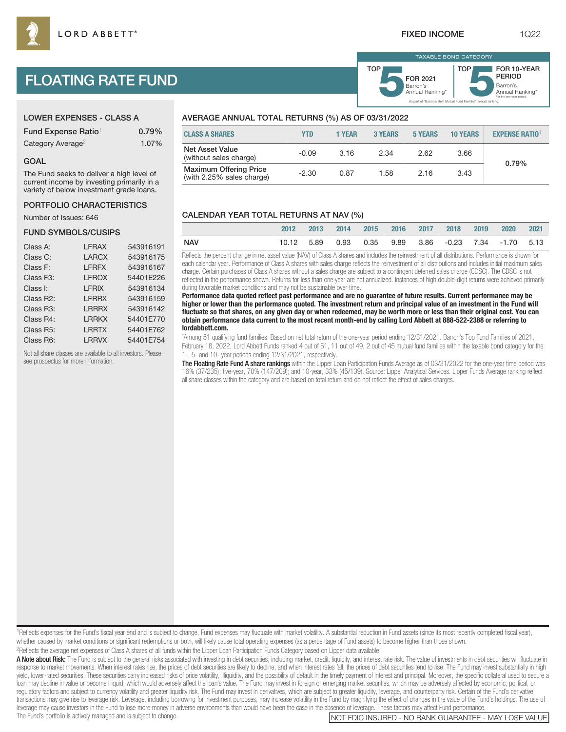Barron's **5**Annual Ranking\* FOR 2021

TAXABLE BOND CATEGORY

TOP

As part of "Barron's Best Mutual Fund Families" annual ranking.

Barron's<br>Annual Ranking\*

For the one-year period.

FOR 10-YEAR PERIOD

# FLOATING RATE FUND

| <b>LOWER EXPENSES - CLASS A</b> |       |
|---------------------------------|-------|
| Fund Expense Ratio <sup>1</sup> | 0.79% |
| Category Average <sup>2</sup>   | 1.07% |

#### GOAL

The Fund seeks to deliver a high level of current income by investing primarily in a variety of below investment grade loans.

#### PORTFOLIO CHARACTERISTICS

Number of Issues: 646

### FUND SYMBOLS/CUSIPS

| Class A:               | <b>LFRAX</b> | 543916191 |
|------------------------|--------------|-----------|
| Class C:               | <b>LARCX</b> | 543916175 |
| Class F:               | <b>LFRFX</b> | 543916167 |
| Class F <sub>3</sub> : | <b>LFROX</b> | 54401E226 |
| Class I:               | <b>LFRIX</b> | 543916134 |
| Class R2:              | <b>LFRRX</b> | 543916159 |
| Class R <sub>3</sub> : | <b>LRRRX</b> | 543916142 |
| Class R4:              | <b>LRRKX</b> | 54401E770 |
| Class R <sub>5</sub> : | <b>LRRTX</b> | 54401E762 |
| Class R6:              | <b>LRRVX</b> | 54401E754 |
|                        |              |           |

Not all share classes are available to all investors. Please see prospectus for more information.

# AVERAGE ANNUAL TOTAL RETURNS (%) AS OF 03/31/2022

| <b>CLASS A SHARES</b>                                      | YTD     | 1 YEAR | <b>3 YEARS</b> | <b>5 YEARS</b> | <b>10 YEARS</b> | <b>EXPENSE RATIO</b> |
|------------------------------------------------------------|---------|--------|----------------|----------------|-----------------|----------------------|
| <b>Net Asset Value</b><br>(without sales charge)           | $-0.09$ | 3.16   | 2.34           | 2.62           | 3.66            | 0.79%                |
| <b>Maximum Offering Price</b><br>(with 2.25% sales charge) | $-2.30$ | 0.87   | 1.58           | 2.16           | 3.43            |                      |

TOP

## CALENDAR YEAR TOTAL RETURNS AT NAV (%)

|            | 2012 2013 | 2014 |  | 2015 2016 2017 2018 2019 | 2020                                                 | 2021 |
|------------|-----------|------|--|--------------------------|------------------------------------------------------|------|
| <b>NAV</b> |           |      |  |                          | 10.12 5.89 0.93 0.35 9.89 3.86 -0.23 7.34 -1.70 5.13 |      |

Reflects the percent change in net asset value (NAV) of Class A shares and includes the reinvestment of all distributions. Performance is shown for each calendar year. Performance of Class A shares with sales charge reflects the reinvestment of all distributions and includes initial maximum sales charge. Certain purchases of Class A shares without a sales charge are subject to a contingent deferred sales charge (CDSC). The CDSC is not reflected in the performance shown. Returns for less than one year are not annualized. Instances of high double-digit returns were achieved primarily during favorable market conditions and may not be sustainable over time.

**Performance data quoted reflect past performance and are no guarantee of future results. Current performance may be higher or lower than the performance quoted. The investment return and principal value of an investment in the Fund will fluctuate so that shares, on any given day or when redeemed, may be worth more or less than their original cost. You can obtain performance data current to the most recent month-end by calling Lord Abbett at 888-522-2388 or referring to lordabbett.com.**

\* Among 51 qualifying fund families. Based on net total return of the one-year period ending 12/31/2021. Barron's Top Fund Families of 2021, February 18, 2022, Lord Abbett Funds ranked 4 out of 51, 11 out of 49, 2 out of 45 mutual fund families within the taxable bond category for the 1-, 5- and 10- year periods ending 12/31/2021, respectively.

The Floating Rate Fund A share rankings within the Lipper Loan Participation Funds Average as of 03/31/2022 for the one-year time period was 16% (37/235); five-year, 70% (147/209); and 10-year, 33% (45/139). Source: Lipper Analytical Services. Lipper Funds Average ranking reflect all share classes within the category and are based on total return and do not reflect the effect of sales charges.

<sup>1</sup>Reflects expenses for the Fund's fiscal year end and is subject to change. Fund expenses may fluctuate with market volatility. A substantial reduction in Fund assets (since its most recently completed fiscal year), whether caused by market conditions or significant redemptions or both, will likely cause total operating expenses (as a percentage of Fund assets) to become higher than those shown. 2Reflects the average net expenses of Class A shares of all funds within the Lipper Loan Participation Funds Category based on Lipper data available.

A Note about Risk: The Fund is subject to the general risks associated with investing in debt securities, including market, credit, liquidity, and interest rate risk. The value of investments in debt securities will fluctu response to market movements. When interest rates rise, the prices of debt securities are likely to decline, and when interest rates fall, the prices of debt securities tend to rise. The Fund may invest substantially in hi yield, lower-rated securities. These securities carry increased risks of price volatility, illiquidity, and the possibility of default in the timely payment of interest and principal. Moreover, the specific collateral used loan may decline in value or become illiquid, which would adversely affect the loan's value. The Fund may invest in foreign or emerging market securities, which may be adversely affected by economic, political, or regulatory factors and subject to currency volatility and greater liquidity risk. The Fund may invest in derivatives, which are subject to greater liquidity, leverage, and counterparty risk. Certain of the Fund's derivativ transactions may give rise to leverage risk. Leverage, including borrowing for investment purposes, may increase volatility in the Fund by magnifying the effect of changes in the value of the Fund's holdings. The use of leverage may cause investors in the Fund to lose more money in adverse environments than would have been the case in the absence of leverage. These factors may affect Fund performance. The Fund's portfolio is actively managed and is subject to change. Note than the subject to change.